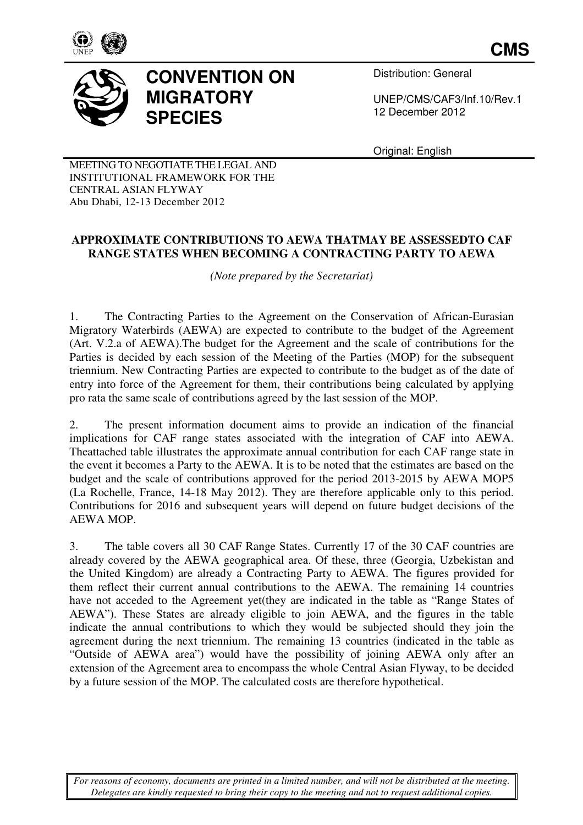

**CMS**



## **CONVENTION ON MIGRATORY SPECIES**

Distribution: General

UNEP/CMS/CAF3/Inf.10 UNEP/CMS/CAF3/Inf.10/Rev.1 12 December December 2012

Original: English

MEETING TO NEGOTIATE THE LEGAL AND INSTITUTIONAL FRAMEWORK FOR THE CENTRAL ASIAN FLYWAY Abu Dhabi, 12-13 December 2012 13

## **APPROXIMATE CONTRIBU CONTRIBUTIONS TO AEWA THATMAY BE ASSESSEDT ASSESSEDTO CAF**  RANGE STATES WHEN BECOMING A CONTRACTING PARTY TO AEWA

*( (Note prepared by the Secretariat)* 

1. The Contracting Parties to the Agreement on the Conservation of African-Eurasian Migratory Waterbirds (AEWA) are expected to contribute to the budget of the Agreement (Art. V.2.a of AEWA).The budget for the Agreement and the scale of contributions for the Parties is decided by each session of the Meeting of the Parties (MOP) for the subsequent triennium. New Contracting Parties are expected to contribute to the budget as of the date of entry into force of the Agreement for them, their contributions being calculated by applying pro rata the same scale of contributions agreed by the last session of the MOP. The budget for the Agreement and the scale of contributions for the ach session of the Meeting of the Parties (MOP) for the subsequent ting Parties are expected to contribute to the budget as of the date of Agreement for t

2. The present information document aims to provide an indication of the financial implications for CAF range states associated with the integration of CAF into AEWA. Theattached table illustrates the approximate annual contribution for each CAF range state in the event it becomes a Party to the AEWA. It is to be noted that the estimates are based on the budget and the scale of contributions approved for the period 2013 2013-2015 by AEWA MOP5 budget and the scale of contributions approved for the period 2013-2015 by AEWA MOP5 (La Rochelle, France, 14-18 May 2012). They are therefore applicable only to this period. Contributions for 2016 and subsequent years will depend on future budget decisions of the AEWA MOP.

3. The table covers all 30 CAF Range States States. Currently 17 of the 30 CAF countries are already covered by the AEWA geographical area. Of these, three (Georgia, Uzbekistan and the United Kingdom) are already a Contracting Party to AEWA. The figures provided for them reflect their current annual contributions to the AEWA. The remaining 14 countries have not acceded to the Agreement yet(they are indicated in the table as "Range States of AEWA"). These States are already eligible to join AEWA, and the figures in the table indicate the annual contributions to which they would be subjected should they join the agreement during the next triennium. The remaining 13 countries (indicated in the table as "Outside of AEWA area") would have the possibility of joining AEWA only after an extension of the Agreement area to encompass the whole Central Asian Flyway, to be decided by a future session of the MOP. The calculated costs are therefore hypothetical.

*For reasons of economy, documents are printed in a limited number, and will not be distributed at the meeting. Delegates are kindly requested to bring their copy to the meeting and not to request additional copies.*